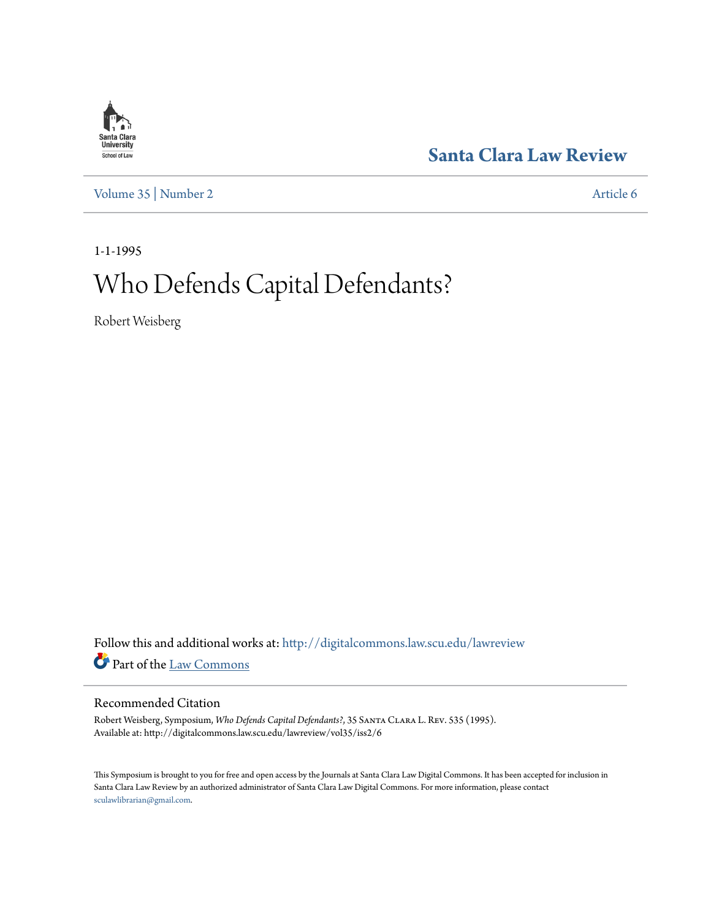

**[Santa Clara Law Review](http://digitalcommons.law.scu.edu/lawreview?utm_source=digitalcommons.law.scu.edu%2Flawreview%2Fvol35%2Fiss2%2F6&utm_medium=PDF&utm_campaign=PDFCoverPages)**

[Volume 35](http://digitalcommons.law.scu.edu/lawreview/vol35?utm_source=digitalcommons.law.scu.edu%2Flawreview%2Fvol35%2Fiss2%2F6&utm_medium=PDF&utm_campaign=PDFCoverPages) | [Number 2](http://digitalcommons.law.scu.edu/lawreview/vol35/iss2?utm_source=digitalcommons.law.scu.edu%2Flawreview%2Fvol35%2Fiss2%2F6&utm_medium=PDF&utm_campaign=PDFCoverPages) [Article 6](http://digitalcommons.law.scu.edu/lawreview/vol35/iss2/6?utm_source=digitalcommons.law.scu.edu%2Flawreview%2Fvol35%2Fiss2%2F6&utm_medium=PDF&utm_campaign=PDFCoverPages)

1-1-1995

## Who Defends Capital Defendants?

Robert Weisberg

Follow this and additional works at: [http://digitalcommons.law.scu.edu/lawreview](http://digitalcommons.law.scu.edu/lawreview?utm_source=digitalcommons.law.scu.edu%2Flawreview%2Fvol35%2Fiss2%2F6&utm_medium=PDF&utm_campaign=PDFCoverPages) Part of the [Law Commons](http://network.bepress.com/hgg/discipline/578?utm_source=digitalcommons.law.scu.edu%2Flawreview%2Fvol35%2Fiss2%2F6&utm_medium=PDF&utm_campaign=PDFCoverPages)

## Recommended Citation

Robert Weisberg, Symposium, *Who Defends Capital Defendants?*, 35 Santa Clara L. Rev. 535 (1995). Available at: http://digitalcommons.law.scu.edu/lawreview/vol35/iss2/6

This Symposium is brought to you for free and open access by the Journals at Santa Clara Law Digital Commons. It has been accepted for inclusion in Santa Clara Law Review by an authorized administrator of Santa Clara Law Digital Commons. For more information, please contact [sculawlibrarian@gmail.com](mailto:sculawlibrarian@gmail.com).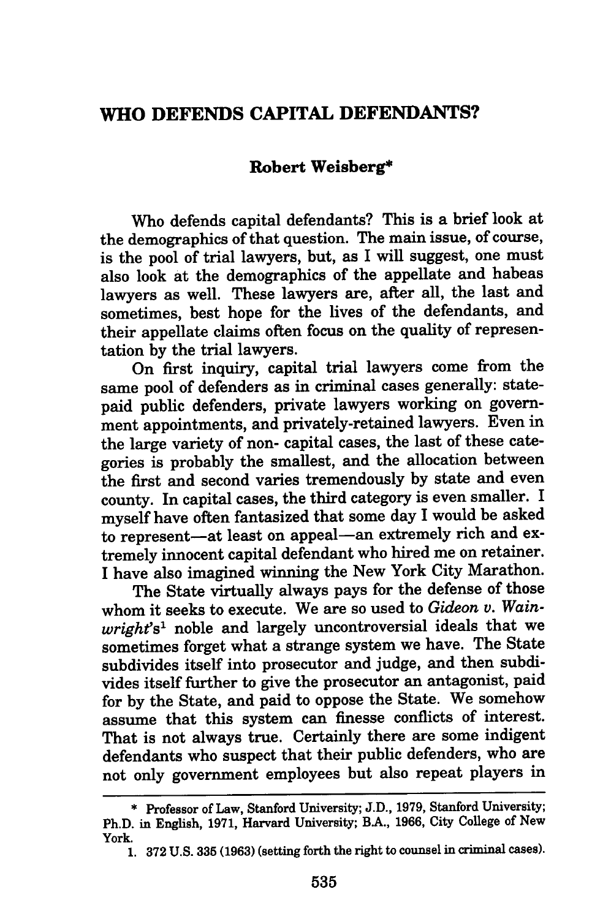## **WHO DEFENDS CAPITAL DEFENDANTS?**

## **Robert Weisberg\***

Who defends capital defendants? This is a brief look at the demographics of that question. The main issue, of course, is the pool of trial lawyers, but, as I will suggest, one must also look at the demographics of the appellate and habeas lawyers as well. These lawyers are, after all, the last and sometimes, best hope for the lives of the defendants, and their appellate claims often focus on the quality of representation **by** the trial lawyers.

On first inquiry, capital trial lawyers come from the same pool of defenders as in criminal cases generally: statepaid public defenders, private lawyers working on government appointments, and privately-retained lawyers. Even in the large variety of non- capital cases, the last of these categories is probably the smallest, and the allocation between the first and second varies tremendously **by** state and even county. In capital cases, the third category is even smaller. **I** myself have often fantasized that some day I would be asked to represent-at least on appeal-an extremely rich and extremely innocent capital defendant who hired me on retainer. **I** have also imagined winning the New York City Marathon.

The State virtually always pays for the defense of those whom it seeks to execute. We are so used to *Gideon v. Wainwright's'* noble and largely uncontroversial ideals that we sometimes forget what a strange system we have. The State subdivides itself into prosecutor and judge, and then subdivides itself further to give the prosecutor an antagonist, paid for **by** the State, and paid to oppose the State. We somehow assume that this system can finesse conflicts of interest. That is not always true. Certainly there are some indigent defendants who suspect that their public defenders, who are not only government employees but also repeat players in

**<sup>\*</sup>** Professor of Law, Stanford University; **J.D., 1979,** Stanford University; Ph.D. in English, **1971,** Harvard University; BA., **1966,** City College of New York.

**<sup>1. 372</sup> U.S. 335 (1963)** (setting forth the right to counsel in criminal cases).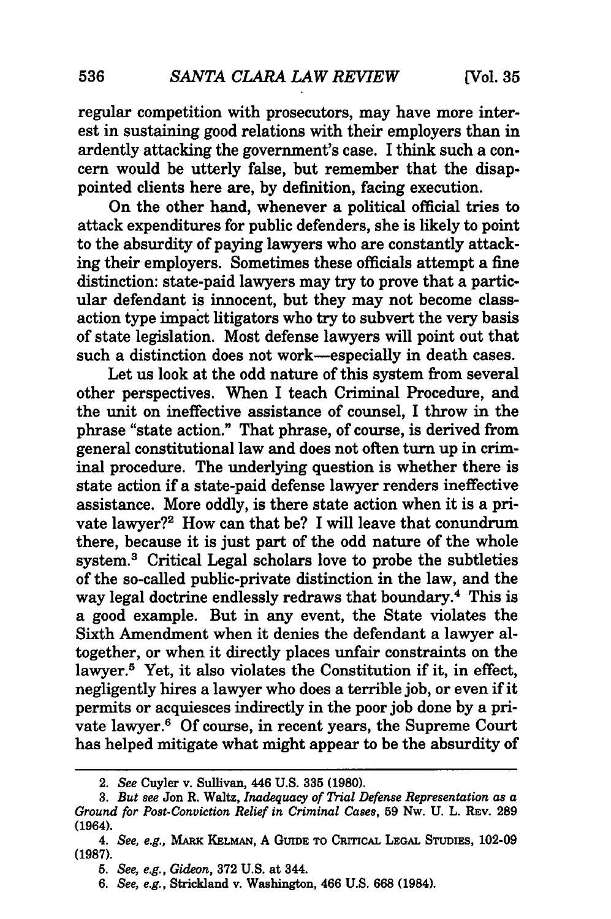regular competition with prosecutors, may have more interest in sustaining good relations with their employers than in ardently attacking the government's case. I think such a concern would be utterly false, but remember that the disappointed clients here are, by definition, facing execution.

On the other hand, whenever a political official tries to attack expenditures for public defenders, she is likely to point to the absurdity of paying lawyers who are constantly attacking their employers. Sometimes these officials attempt a fine distinction: state-paid lawyers may try to prove that a particular defendant is innocent, but they may not become classaction type impact litigators who try to subvert the very basis of state legislation. Most defense lawyers will point out that such a distinction does not work-especially in death cases.

Let us look at the odd nature of this system from several other perspectives. When I teach Criminal Procedure, and the unit on ineffective assistance of counsel, I throw in the phrase "state action." That phrase, of course, is derived from general constitutional law and does not often turn up in criminal procedure. The underlying question is whether there is state action if a state-paid defense lawyer renders ineffective assistance. More oddly, is there state action when it is a private lawyer?<sup>2</sup> How can that be? I will leave that conundrum there, because it is just part of the odd nature of the whole system.<sup>3</sup> Critical Legal scholars love to probe the subtleties of the so-called public-private distinction in the law, and the way legal doctrine endlessly redraws that boundary.4 This is a good example. But in any event, the State violates the Sixth Amendment when it denies the defendant a lawyer altogether, or when it directly places unfair constraints on the lawyer.<sup>5</sup> Yet, it also violates the Constitution if it, in effect, negligently hires a lawyer who does a terrible **job,** or even if it permits or acquiesces indirectly in the poor **job** done **by** a private lawyer.6 **Of** course, in recent years, the Supreme Court has helped mitigate what might appear to be the absurdity of

<sup>2.</sup> *See* Cuyler v. Sullivan, 446 **U.S. 335 (1980).**

**<sup>3.</sup>** *But see* Jon R. Waltz, *Inadequacy of Trial Defense Representation as a Ground for Post-Conviction Relief in Criminal Cases,* **59** Nw. **U.** L. REv. **289** (1964).

*<sup>4.</sup> See, e.g.,* **MARK KELMAN, A GUIDE TO CRricAL LEGAL STUDIES, 102-09 (1987).**

*<sup>5.</sup> See, e.g., Gideon,* **372 U.S. at** 344.

*<sup>6.</sup> See, e.g.,* Strickland v. Washington, 466 **U.S. 668** (1984).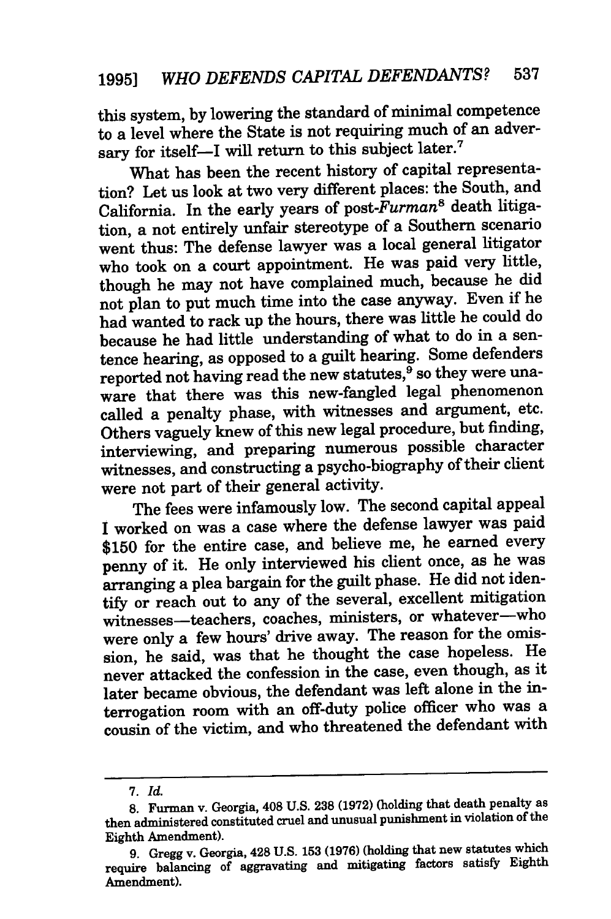this system, by lowering the standard of minimal competence to a level where the State is not requiring much of an adversary for itself-I will return to this subject later.<sup>7</sup>

What has been the recent history of capital representation? Let us look at two very different places: the South, and California. In the early years of *post-Furman8* death litigation, a not entirely unfair stereotype of a Southern scenario went thus: The defense lawyer was a local general litigator who took on a court appointment. He was paid very little, though he may not have complained much, because he did not plan to put much time into the case anyway. Even if he had wanted to rack up the hours, there was little he could do because he had little understanding of what to do in a sentence hearing, as opposed to a guilt hearing. Some defenders reported not having read the new statutes,<sup>9</sup> so they were unaware that there was this new-fangled legal phenomenon called a penalty phase, with witnesses and argument, etc. Others vaguely knew of this new legal procedure, but finding, interviewing, and preparing numerous possible character witnesses, and constructing a psycho-biography of their client were not part of their general activity.

The fees were infamously low. The second capital appeal I worked on was a case where the defense lawyer was paid \$150 for the entire case, and believe me, he earned every penny of it. He only interviewed his client once, as he was arranging a plea bargain for the guilt phase. He did not identify or reach out to any of the several, excellent mitigation witnesses-teachers, coaches, ministers, or whatever-who were only a few hours' drive away. The reason for the omission, he said, was that he thought the case hopeless. He never attacked the confession in the case, even though, as it later became obvious, the defendant was left alone in the interrogation room with an off-duty police officer who was a cousin of the victim, and who threatened the defendant with

**<sup>7.</sup>** *Id.*

**<sup>8.</sup>** Furman v. Georgia, 408 U.S. **238** (1972) (holding that death penalty as then administered constituted cruel and unusual punishment in violation of the Eighth Amendment).

**<sup>9.</sup>** Gregg v. Georgia, 428 **U.S. 153 (1976)** (holding that new statutes which require balancing of aggravating and mitigating factors satisfy Eighth Amendment).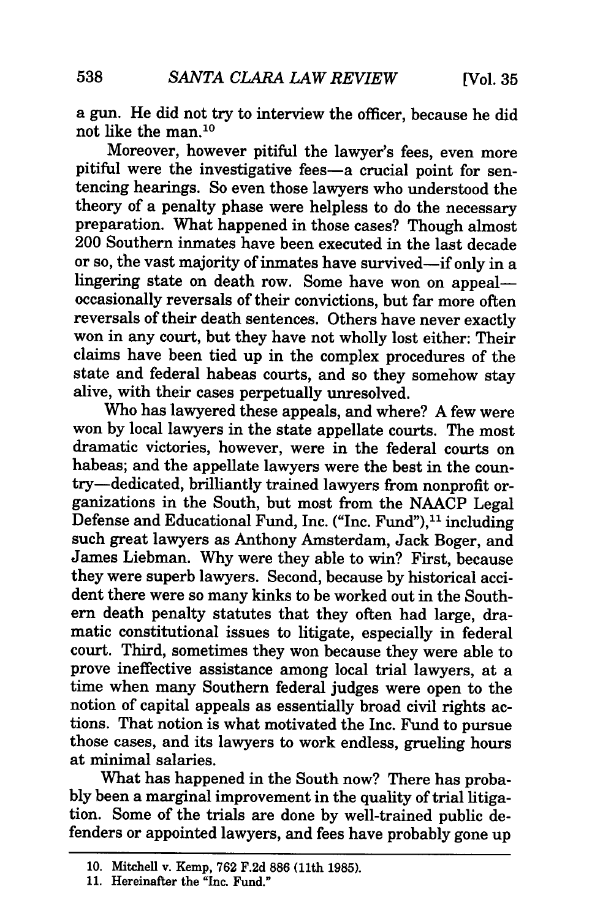a gun. He did not try to interview the officer, because he did not like the man. <sup>10</sup>

Moreover, however pitiful the lawyer's fees, even more pitiful were the investigative fees-a crucial point for sentencing hearings. So even those lawyers who understood the theory of a penalty phase were helpless to do the necessary preparation. What happened in those cases? Though almost 200 Southern inmates have been executed in the last decade or so, the vast majority of inmates have survived-if only in a lingering state on death row. Some have won on appealoccasionally reversals of their convictions, but far more often reversals of their death sentences. Others have never exactly won in any court, but they have not wholly lost either: Their claims have been tied up in the complex procedures of the state and federal habeas courts, and so they somehow stay alive, with their cases perpetually unresolved.

Who has lawyered these appeals, and where? A few were won by local lawyers in the state appellate courts. The most dramatic victories, however, were in the federal courts on habeas; and the appellate lawyers were the best in the country-dedicated, brilliantly trained lawyers from nonprofit organizations in the South, but most from the NAACP Legal Defense and Educational Fund, Inc. ("Inc. Fund"),<sup>11</sup> including such great lawyers as Anthony Amsterdam, Jack Boger, and James Liebman. Why were they able to win? First, because they were superb lawyers. Second, because by historical accident there were so many kinks to be worked out in the Southern death penalty statutes that they often had large, dramatic constitutional issues to litigate, especially in federal court. Third, sometimes they won because they were able to prove ineffective assistance among local trial lawyers, at a time when many Southern federal judges were open to the notion of capital appeals as essentially broad civil rights actions. That notion is what motivated the Inc. Fund to pursue those cases, and its lawyers to work endless, grueling hours at minimal salaries.

What has happened in the South now? There has probably been a marginal improvement in the quality of trial litigation. Some of the trials are done by well-trained public defenders or appointed lawyers, and fees have probably gone up

<sup>10.</sup> Mitchell v. Kemp, 762 F.2d **886** (11th 1985).

**<sup>11.</sup>** Hereinafter the "Inc. Fund."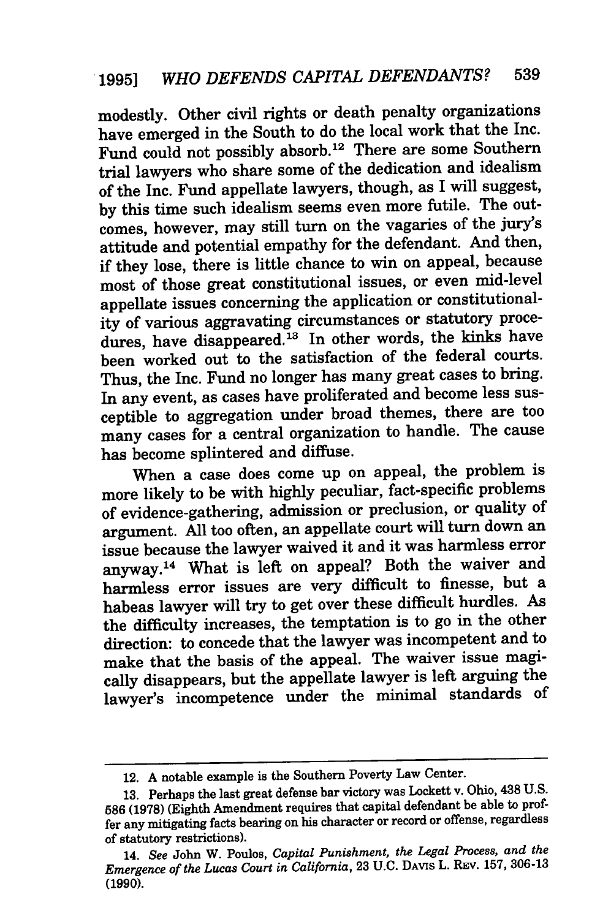modestly. Other civil rights or death penalty organizations have emerged in the South to do the local work that the Inc. Fund could not possibly absorb. 12 There are some Southern trial lawyers who share some of the dedication and idealism of the Inc. Fund appellate lawyers, though, as I will suggest, by this time such idealism seems even more futile. The outcomes, however, may still turn on the vagaries of the jury's attitude and potential empathy for the defendant. And then, if they lose, there is little chance to win on appeal, because most of those great constitutional issues, or even mid-level appellate issues concerning the application or constitutionality of various aggravating circumstances or statutory procedures, have disappeared.<sup>13</sup> In other words, the kinks have been worked out to the satisfaction of the federal courts. Thus, the Inc. Fund no longer has many great cases to bring. In any event, as cases have proliferated and become less susceptible to aggregation under broad themes, there are too many cases for a central organization to handle. The cause has become splintered and diffuse.

When a case does come up on appeal, the problem is more likely to be with highly peculiar, fact-specific problems of evidence-gathering, admission or preclusion, or quality of argument. All too often, an appellate court will turn down an issue because the lawyer waived it and it was harmless error anyway.<sup>14</sup> What is left on appeal? Both the waiver and harmless error issues are very difficult to finesse, but a habeas lawyer will try to get over these difficult hurdles. As the difficulty increases, the temptation is to go in the other direction: to concede that the lawyer was incompetent and to make that the basis of the appeal. The waiver issue magically disappears, but the appellate lawyer is left arguing the lawyer's incompetence under the minimal standards of

<sup>12.</sup> **<sup>A</sup>**notable example is the Southern Poverty Law Center.

**<sup>13.</sup>** Perhaps the last great defense bar victory was Lockett v. Ohio, 438 **U.S. 586 (1978)** (Eighth Amendment requires that capital defendant be able to proffer any mitigating facts bearing on his character or record or offense, regardless of statutory restrictions).

<sup>14.</sup> *See* John W. Poulos, *Capital Punishment, the Legal Process, and the Emergence of the Lucas Court in California,* **23 U.C. DAVIS** L. **REv. 157, 306-13 (1990).**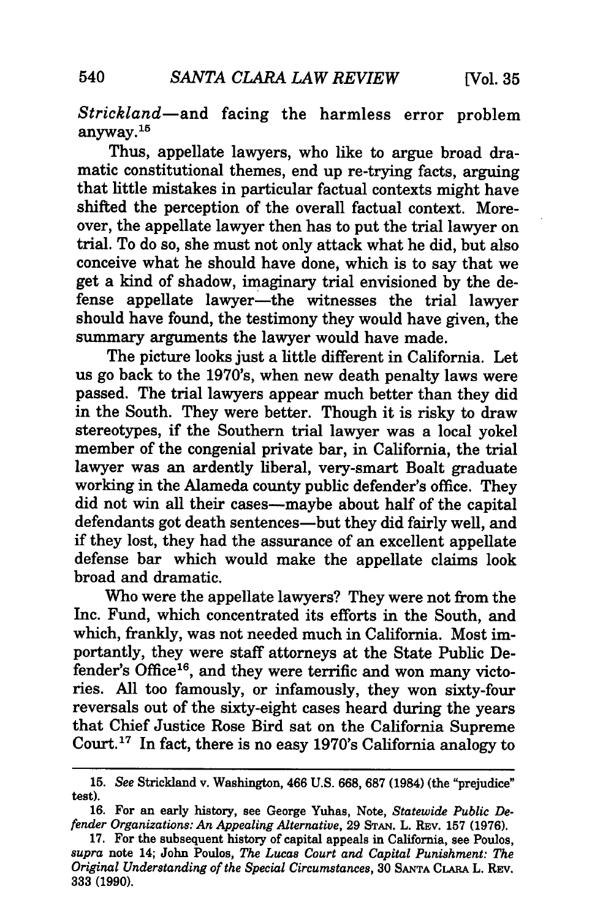*Strickland-and* facing the harmless error problem anyway. $^{16}$ 

Thus, appellate lawyers, who like to argue broad dramatic constitutional themes, end up re-trying facts, arguing that little mistakes in particular factual contexts might have shifted the perception of the overall factual context. Moreover, the appellate lawyer then has to put the trial lawyer on trial. To do so, she must not only attack what he did, but also conceive what he should have done, which is to say that we get a kind of shadow, imaginary trial envisioned by the defense appellate lawyer-the witnesses the trial lawyer should have found, the testimony they would have given, the summary arguments the lawyer would have made.

The picture looks just a little different in California. Let us go back to the 1970's, when new death penalty laws were passed. The trial lawyers appear much better than they did in the South. They were better. Though it is risky to draw stereotypes, if the Southern trial lawyer was a local yokel member of the congenial private bar, in California, the trial lawyer was an ardently liberal, very-smart Boalt graduate working in the Alameda county public defender's office. They did not win all their cases-maybe about half of the capital defendants got death sentences—but they did fairly well, and if they lost, they had the assurance of an excellent appellate defense bar which would make the appellate claims look broad and dramatic.

Who were the appellate lawyers? They were not from the Inc. Fund, which concentrated its efforts in the South, and which, frankly, was not needed much in California. Most importantly, they were staff attorneys at the State Public Defender's Office<sup>16</sup>, and they were terrific and won many victories. All too famously, or infamously, they won sixty-four reversals out of the sixty-eight cases heard during the years that Chief Justice Rose Bird sat on the California Supreme Court.<sup>17</sup> In fact, there is no easy 1970's California analogy to

**<sup>15.</sup>** *See* Strickland v. Washington, 466 U.S. **668, 687** (1984) (the "prejudice" test).

**<sup>16.</sup>** For an early history, see George Yuhas, Note, *Statewide Public De. fender Organizations: An Appealing Alternative,* **29 STAN. L. REV. 157 (1976).**

**<sup>17.</sup>** For the subsequent history of capital appeals in California, see Poulos, *supra* note 14; John Poulos, *The Lucas Court and Capital Punishment: The Original Understanding of the Special Circumstances,* **30 SANTA CLARA** L. REv. **333 (1990).**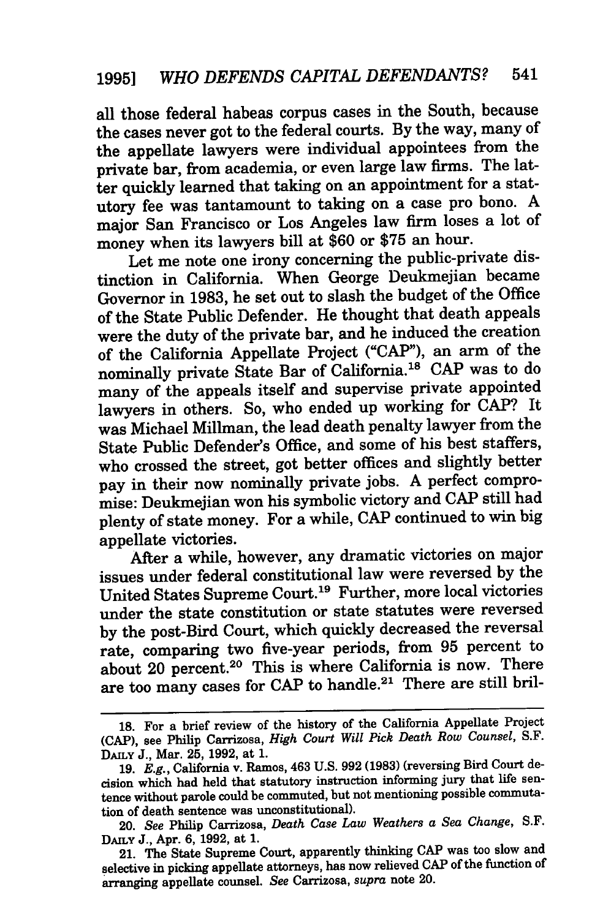all those federal habeas corpus cases in the South, because the cases never got to the federal courts. By the way, many of the appellate lawyers were individual appointees from the private bar, from academia, or even large law firms. The latter quickly learned that taking on an appointment for a statutory fee was tantamount to taking on a case pro bono. A major San Francisco or Los Angeles law firm loses a lot of money when its lawyers bill at \$60 or \$75 an hour.

Let me note one irony concerning the public-private distinction in California. When George Deukmejian became Governor in 1983, he set out to slash the budget of the Office of the State Public Defender. He thought that death appeals were the duty of the private bar, and he induced the creation of the California Appellate Project **("CAP"),** an arm of the nominally private State Bar of California.<sup>18</sup> CAP was to do many of the appeals itself and supervise private appointed lawyers in others. So, who ended up working for **CAP?** It was Michael Millman, the lead death penalty lawyer from the State Public Defender's Office, and some of his best staffers, who crossed the street, got better offices and slightly better pay in their now nominally private jobs. **A** perfect compro**mise:** Deukmejian won his symbolic victory and **CAP** still had plenty of state money. For a while, **CAP** continued to win big appellate victories.

After a while, however, any dramatic victories on major issues under federal constitutional law were reversed **by** the United States Supreme Court. 19 Further, more local victories under the state constitution or state statutes were reversed **by** the post-Bird Court, which quickly decreased the reversal rate, comparing two five-year periods, from **95** percent to about 20 percent.<sup>20</sup> This is where California is now. There are too many cases for **CAP** to handle.21 There are still bril-

**<sup>18.</sup>** For a brief review of the history of the California Appellate Project **(CAP),** see Philip Carrizosa, *High Court Will Pick Death Row Counsel,* S.F. DAILY J., Mar. 25, 1992, at 1.

<sup>19.</sup> *E.g.,* California v. Ramos, 463 U.S. 992 (1983) (reversing Bird Court decision which had held that statutory instruction informing jury that life sentence without parole could be commuted, but not mentioning possible commutation of death sentence was unconstitutional).

<sup>20.</sup> *See* Philip Carrizosa, *Death Case Law Weathers a Sea Change,* S.F. **DAILY** J., Apr. 6, 1992, at 1.

<sup>21.</sup> The State Supreme Court, apparently thinking **CAP** was too slow and selective in picking appellate attorneys, has now relieved **CAP** of the function of arranging appellate counsel. *See* Carrizosa, *supra* note 20.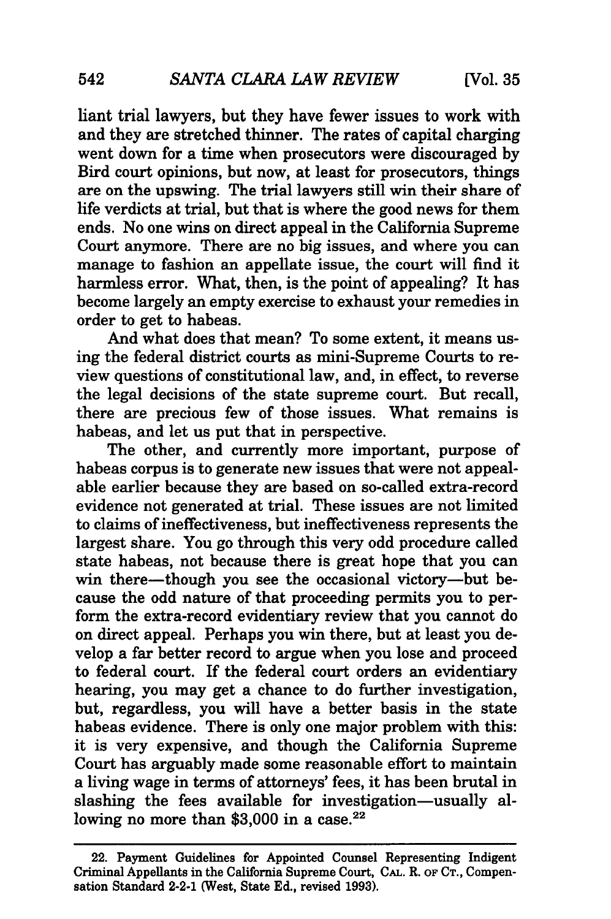liant trial lawyers, but they have fewer issues to work with and they are stretched thinner. The rates of capital charging went down for a time when prosecutors were discouraged by Bird court opinions, but now, at least for prosecutors, things are on the upswing. The trial lawyers still win their share of life verdicts at trial, but that is where the good news for them ends. No one wins on direct appeal in the California Supreme Court anymore. There are no big issues, and where you can manage to fashion an appellate issue, the court will find it harmless error. What, then, is the point of appealing? It has become largely an empty exercise to exhaust your remedies in order to get to habeas.

And what does that mean? To some extent, it means using the federal district courts as mini-Supreme Courts to review questions of constitutional law, and, in effect, to reverse the legal decisions of the state supreme court. But recall, there are precious few of those issues. What remains is habeas, and let us put that in perspective.

The other, and currently more important, purpose of habeas corpus is to generate new issues that were not appealable earlier because they are based on so-called extra-record evidence not generated at trial. These issues are not limited to claims of ineffectiveness, but ineffectiveness represents the largest share. You go through this very odd procedure called state habeas, not because there is great hope that you can win there-though you see the occasional victory-but because the odd nature of that proceeding permits you to perform the extra-record evidentiary review that you cannot do on direct appeal. Perhaps you win there, but at least you develop a far better record to argue when you lose and proceed to federal court. If the federal court orders an evidentiary hearing, you may get a chance to do further investigation, but, regardless, you will have a better basis in the state habeas evidence. There is only one major problem with this: it is very expensive, and though the California Supreme Court has arguably made some reasonable effort to maintain a living wage in terms of attorneys' fees, it has been brutal in slashing the fees available for investigation-usually allowing no more than  $$3,000$  in a case.<sup>22</sup>

<sup>22.</sup> Payment Guidelines for Appointed Counsel Representing Indigent Criminal Appellants in the California Supreme Court, **CAL.** R. **OF** CT., Compensation Standard 2-2-1 (West, State **Ed.,** revised **1993).**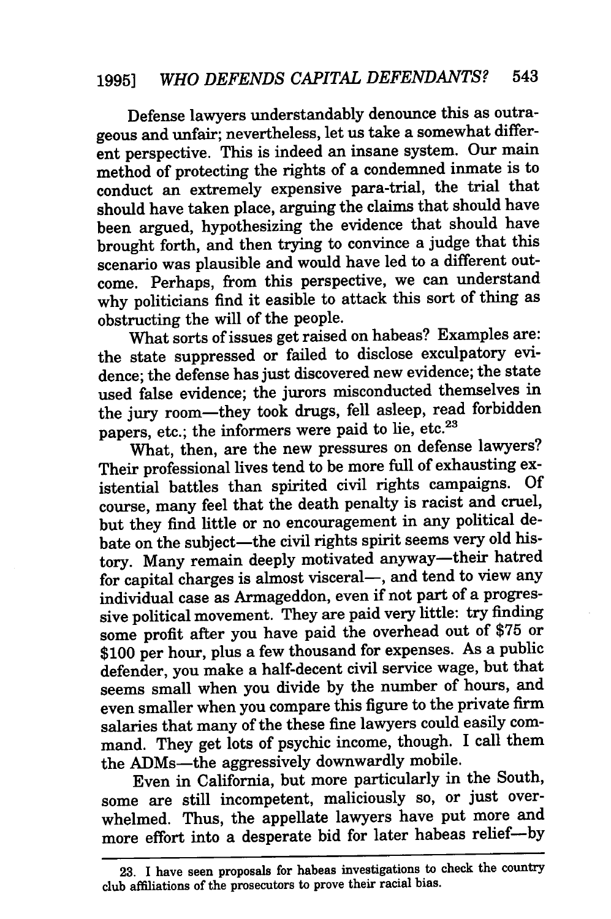Defense lawyers understandably denounce this as outrageous and unfair; nevertheless, let us take a somewhat different perspective. This is indeed an insane system. Our main method of protecting the rights of a condemned inmate is to conduct an extremely expensive para-trial, the trial that should have taken place, arguing the claims that should have been argued, hypothesizing the evidence that should have brought forth, and then trying to convince a judge that this scenario was plausible and would have led to a different outcome. Perhaps, from this perspective, we can understand why politicians find it easible to attack this sort of thing as obstructing the will of the people.

What sorts of issues get raised on habeas? Examples are: the state suppressed or failed to disclose exculpatory evidence; the defense has just discovered new evidence; the state used false evidence; the jurors misconducted themselves in the jury room-they took drugs, fell asleep, read forbidden papers, etc.; the informers were paid to lie, etc.<sup>23</sup>

What, then, are the new pressures on defense lawyers? Their professional lives tend to be more full of exhausting existential battles than spirited civil rights campaigns. Of course, many feel that the death penalty is racist and cruel, but they find little or no encouragement in any political debate on the subject-the civil rights spirit seems very old history. Many remain deeply motivated anyway-their hatred for capital charges is almost visceral-, and tend to view any individual case as Armageddon, even if not part of a progressive political movement. They are paid very little: try finding some profit after you have paid the overhead out of \$75 or \$100 per hour, plus a few thousand for expenses. As a public defender, you make a half-decent civil service wage, but that seems small when you divide by the number of hours, and even smaller when you compare this figure to the private firm salaries that many of the these fine lawyers could easily command. They get lots of psychic income, though. I call them the ADMs-the aggressively downwardly mobile.

Even in California, but more particularly in the South, some are still incompetent, maliciously so, or just overwhelmed. Thus, the appellate lawyers have put more and more effort into a desperate bid for later habeas relief-by

**<sup>23.</sup> I** have seen proposals for habeas investigations to check the country club affiliations of the prosecutors to prove their racial bias.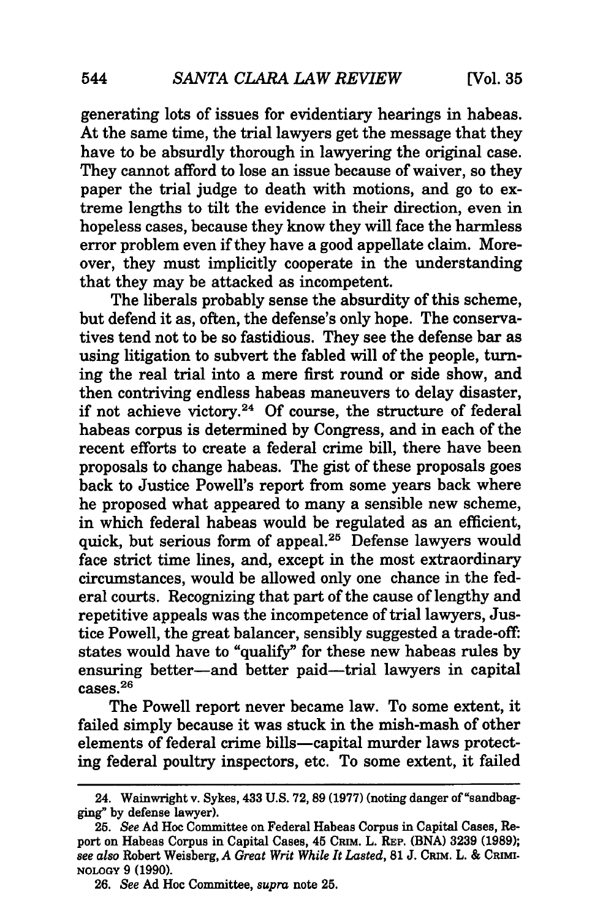generating lots of issues for evidentiary hearings in habeas. At the same time, the trial lawyers get the message that they have to be absurdly thorough in lawyering the original case. They cannot afford to lose an issue because of waiver, so they paper the trial judge to death with motions, and go to extreme lengths to tilt the evidence in their direction, even in hopeless cases, because they know they will face the harmless error problem even if they have a good appellate claim. Moreover, they must implicitly cooperate in the understanding that they may be attacked as incompetent.

The liberals probably sense the absurdity of this scheme, but defend it as, often, the defense's only hope. The conservatives tend not to be so fastidious. They see the defense bar as using litigation to subvert the fabled will of the people, turning the real trial into a mere first round or side show, and then contriving endless habeas maneuvers to delay disaster, if not achieve victory.<sup>24</sup> Of course, the structure of federal habeas corpus is determined by Congress, and in each of the recent efforts to create a federal crime bill, there have been proposals to change habeas. The gist of these proposals goes back to Justice Powell's report from some years back where he proposed what appeared to many a sensible new scheme, in which federal habeas would be regulated as an efficient, quick, but serious form of appeal.<sup>25</sup> Defense lawyers would face strict time lines, and, except in the most extraordinary circumstances, would be allowed only one chance in the federal courts. Recognizing that part of the cause of lengthy and repetitive appeals was the incompetence of trial lawyers, Justice Powell, the great balancer, sensibly suggested a trade-off: states would have to "qualify" for these new habeas rules by ensuring better-and better paid-trial lawyers in capital  $cases.<sup>26</sup>$ 

The Powell report never became law. To some extent, it failed simply because it was stuck in the mish-mash of other elements of federal crime bills-capital murder laws protecting federal poultry inspectors, etc. To some extent, it failed

<sup>24.</sup> Wainwright v. Sykes, 433 **U.S. 72, 89 (1977)** (noting danger of "sandbagging" **by** defense lawyer).

**<sup>25.</sup>** See **Ad Hoc** Committee on Federal Habeas Corpus in Capital Cases, Report on Habeas Corpus in Capital Cases, 45 **CRIM.** L. **REP. (BNA) 3239 (1989);** *see also* Robert Weisberg, *A Great Writ While It Lasted,* 81 **J. CRIM.** L. **& CRIMI-NOLOGY 9 (1990).**

**<sup>26.</sup>** *See* **Ad** Hoc Committee, *supra* note **25.**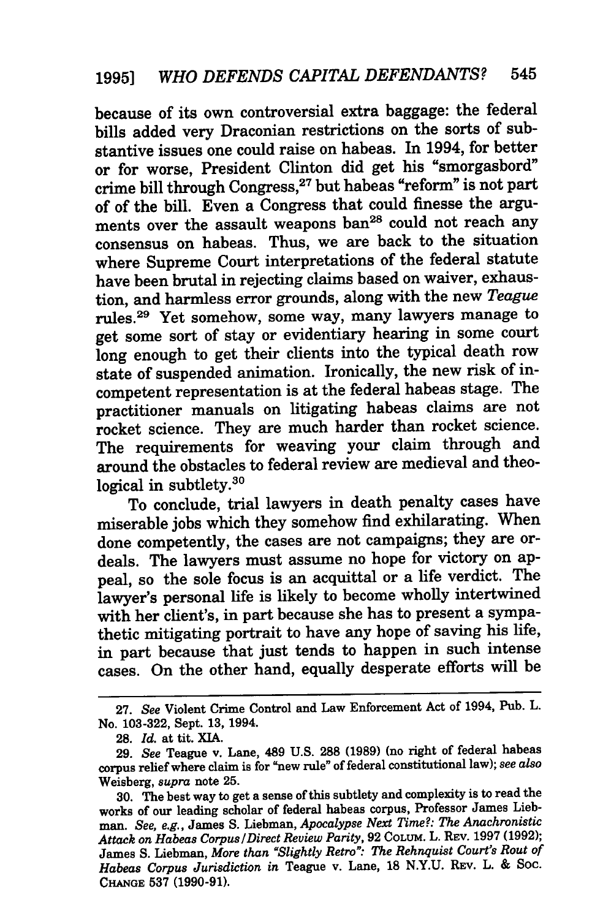because of its own controversial extra baggage: the federal bills added very Draconian restrictions on the sorts of substantive issues one could raise on habeas. In 1994, for better or for worse, President Clinton did get his "smorgasbord" crime bill through Congress, 27 but habeas "reform" is not part of of the bill. Even a Congress that could finesse the arguments over the assault weapons **ban28** could not reach any consensus on habeas. Thus, we are back to the situation where Supreme Court interpretations of the federal statute have been brutal in rejecting claims based on waiver, exhaustion, and harmless error grounds, along with the new *Teague* rules.29 Yet somehow, some way, many lawyers manage to get some sort of stay or evidentiary hearing in some court long enough to get their clients into the typical death row state of suspended animation. Ironically, the new risk of incompetent representation is at the federal habeas stage. The practitioner manuals on litigating habeas claims are not rocket science. They are much harder than rocket science. The requirements for weaving your claim through and around the obstacles to federal review are medieval and theological in subtlety.<sup>30</sup>

To conclude, trial lawyers in death penalty cases have miserable jobs which they somehow find exhilarating. When done competently, the cases are not campaigns; they are ordeals. The lawyers must assume no hope for victory on appeal, so the sole focus is an acquittal or a life verdict. The lawyer's personal life is likely to become wholly intertwined with her client's, in part because she has to present a sympathetic mitigating portrait to have any hope of saving his life, in part because that just tends to happen in such intense cases. On the other hand, equally desperate efforts will be

<sup>27.</sup> *See* Violent Crime Control and Law Enforcement Act of 1994, Pub. L. No. 103-322, Sept. 13, 1994.

**<sup>28.</sup>** *Id.* at tit. XIA.

<sup>29.</sup> *See* Teague v. Lane, 489 U.S. **288** (1989) (no right of federal habeas corpus relief where claim is for "new rule" of federal constitutional law); *see also* Weisberg, *supra* note 25.

<sup>30.</sup> The best way to get a sense of this subtlety and complexity is to read the works of our leading scholar of federal habeas corpus, Professor James Liebman. *See, e.g.,* James **S.** Liebman, *Apocalypse Next Time?: The Anachronistic Attack on Habeas Corpus/Direct Review Parity,* 92 **COLUM.** L. **REV.** 1997 (1992); James S. Liebman, *More than 'Slightly Retro": The Rehnquist Court's Rout of Habeas Corpus Jurisdiction in* Teague v. Lane, 18 N.Y.U. REv. L. & Soc. **CHANGE 537** (1990-91).